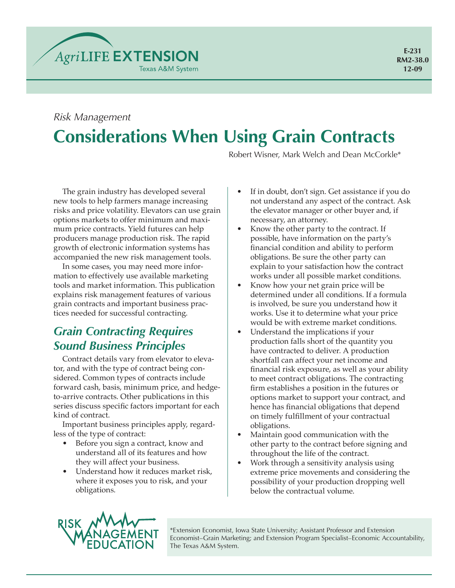

# **Considerations When Using Grain Contracts** *Risk Management*

Robert Wisner, Mark Welch and Dean McCorkle\*

The grain industry has developed several new tools to help farmers manage increasing risks and price volatility. Elevators can use grain options markets to offer minimum and maximum price contracts. Yield futures can help producers manage production risk. The rapid growth of electronic information systems has accompanied the new risk management tools.

In some cases, you may need more information to effectively use available marketing tools and market information. This publication explains risk management features of various grain contracts and important business practices needed for successful contracting.

## *Grain Contracting Requires Sound Business Principles*

Contract details vary from elevator to elevator, and with the type of contract being considered. Common types of contracts include forward cash, basis, minimum price, and hedgeto-arrive contracts. Other publications in this series discuss specific factors important for each kind of contract.

Important business principles apply, regardless of the type of contract:

- Before you sign a contract, know and understand all of its features and how they will affect your business.
- Understand how it reduces market risk, where it exposes you to risk, and your obligations.
- If in doubt, don't sign. Get assistance if you do not understand any aspect of the contract. Ask the elevator manager or other buyer and, if necessary, an attorney.
- Know the other party to the contract. If possible, have information on the party's financial condition and ability to perform obligations. Be sure the other party can explain to your satisfaction how the contract works under all possible market conditions.
- Know how your net grain price will be determined under all conditions. If a formula is involved, be sure you understand how it works. Use it to determine what your price would be with extreme market conditions.
- Understand the implications if your production falls short of the quantity you have contracted to deliver. A production shortfall can affect your net income and financial risk exposure, as well as your ability to meet contract obligations. The contracting firm establishes a position in the futures or options market to support your contract, and hence has financial obligations that depend on timely fulfillment of your contractual obligations.
- Maintain good communication with the other party to the contract before signing and throughout the life of the contract.
- Work through a sensitivity analysis using extreme price movements and considering the possibility of your production dropping well below the contractual volume.



\*Extension Economist, Iowa State University; Assistant Professor and Extension Economist–Grain Marketing; and Extension Program Specialist–Economic Accountability, The Texas A&M System.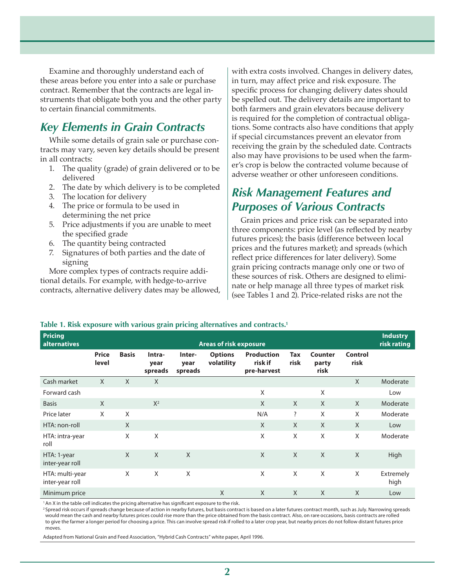Examine and thoroughly understand each of these areas before you enter into a sale or purchase contract. Remember that the contracts are legal instruments that obligate both you and the other party to certain financial commitments.

#### *Key Elements in Grain Contracts*

While some details of grain sale or purchase contracts may vary, seven key details should be present in all contracts:

- 1. The quality (grade) of grain delivered or to be delivered
- 2. The date by which delivery is to be completed
- 3. The location for delivery
- 4. The price or formula to be used in determining the net price
- 5. Price adjustments if you are unable to meet the specified grade
- 6. The quantity being contracted
- 7. Signatures of both parties and the date of signing

More complex types of contracts require additional details. For example, with hedge-to-arrive contracts, alternative delivery dates may be allowed,

with extra costs involved. Changes in delivery dates, in turn, may affect price and risk exposure. The specific process for changing delivery dates should be spelled out. The delivery details are important to both farmers and grain elevators because delivery is required for the completion of contractual obligations. Some contracts also have conditions that apply if special circumstances prevent an elevator from receiving the grain by the scheduled date. Contracts also may have provisions to be used when the farmer's crop is below the contracted volume because of adverse weather or other unforeseen conditions.

### *Risk Management Features and Purposes of Various Contracts*

Grain prices and price risk can be separated into three components: price level (as reflected by nearby futures prices); the basis (difference between local prices and the futures market); and spreads (which reflect price differences for later delivery). Some grain pricing contracts manage only one or two of these sources of risk. Others are designed to eliminate or help manage all three types of market risk (see Tables 1 and 2). Price-related risks are not the

#### **Table 1. Risk exposure with various grain pricing alternatives and contracts.1**

| <b>Pricing</b><br>alternatives     | <b>Areas of risk exposure</b> |              |                           |                           |                              |                                             |                    |                          |                        | <b>Industry</b><br>risk rating |
|------------------------------------|-------------------------------|--------------|---------------------------|---------------------------|------------------------------|---------------------------------------------|--------------------|--------------------------|------------------------|--------------------------------|
|                                    | <b>Price</b><br>level         | <b>Basis</b> | Intra-<br>year<br>spreads | Inter-<br>year<br>spreads | <b>Options</b><br>volatility | <b>Production</b><br>risk if<br>pre-harvest | <b>Tax</b><br>risk | Counter<br>party<br>risk | <b>Control</b><br>risk |                                |
| Cash market                        | X                             | $\mathsf{X}$ | X                         |                           |                              |                                             |                    |                          | X                      | Moderate                       |
| Forward cash                       |                               |              |                           |                           |                              | X                                           |                    | X                        |                        | Low                            |
| <b>Basis</b>                       | X                             |              | $X^2$                     |                           |                              | $\sf X$                                     | $\chi$             | $\sf X$                  | X                      | Moderate                       |
| Price later                        | X                             | X            |                           |                           |                              | N/A                                         | ?                  | X                        | X                      | Moderate                       |
| HTA: non-roll                      |                               | X            |                           |                           |                              | $\chi$                                      | $\chi$             | $\chi$                   | X                      | Low                            |
| HTA: intra-year<br>roll            |                               | X            | X                         |                           |                              | X                                           | X                  | X                        | X                      | Moderate                       |
| HTA: 1-year<br>inter-year roll     |                               | $\mathsf{X}$ | $\mathsf{X}$              | $\mathsf{X}$              |                              | X                                           | $\chi$             | $\mathsf{X}$             | $\mathsf{X}$           | High                           |
| HTA: multi-year<br>inter-year roll |                               | X            | X                         | X                         |                              | X                                           | X                  | X                        | X                      | Extremely<br>high              |
| Minimum price                      |                               |              |                           |                           | X                            | X                                           | $\chi$             | $\mathsf{X}$             | X                      | Low                            |

<sup>1</sup> An X in the table cell indicates the pricing alternative has significant exposure to the risk.

<sup>2</sup> Spread risk occurs if spreads change because of action in nearby futures, but basis contract is based on a later futures contract month, such as July. Narrowing spreads would mean the cash and nearby futures prices could rise more than the price obtained from the basis contract. Also, on rare occasions, basis contracts are rolled to give the farmer a longer period for choosing a price. This can involve spread risk if rolled to a later crop year, but nearby prices do not follow distant futures price moves.

Adapted from National Grain and Feed Association, "Hybrid Cash Contracts" white paper, April 1996.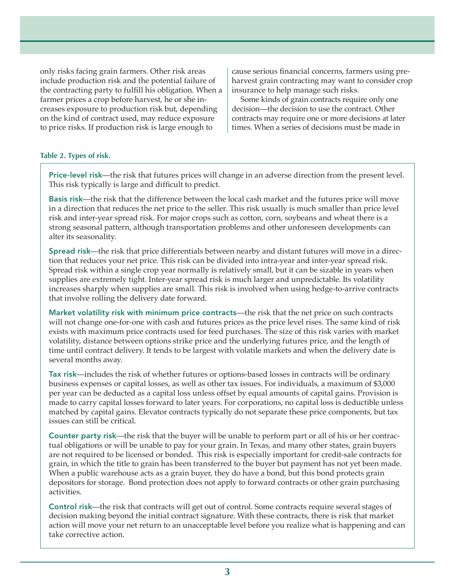only risks facing grain farmers. Other risk areas include production risk and the potential failure of the contracting party to fulfill his obligation. When a farmer prices a crop before harvest, he or she increases exposure to production risk but, depending on the kind of contract used, may reduce exposure to price risks. If production risk is large enough to

cause serious financial concerns, farmers using preharvest grain contracting may want to consider crop insurance to help manage such risks.

Some kinds of grain contracts require only one decision—the decision to use the contract. Other contracts may require one or more decisions at later times. When a series of decisions must be made in

#### **Table 2. Types of risk.**

Price-level risk—the risk that futures prices will change in an adverse direction from the present level. This risk typically is large and difficult to predict.

Basis risk—the risk that the difference between the local cash market and the futures price will move in a direction that reduces the net price to the seller. This risk usually is much smaller than price level risk and inter-year spread risk. For major crops such as cotton, corn, soybeans and wheat there is a strong seasonal pattern, although transportation problems and other unforeseen developments can alter its seasonality.

Spread risk—the risk that price differentials between nearby and distant futures will move in a direction that reduces your net price. This risk can be divided into intra-year and inter-year spread risk. Spread risk within a single crop year normally is relatively small, but it can be sizable in years when supplies are extremely tight. Inter-year spread risk is much larger and unpredictable. Its volatility increases sharply when supplies are small. This risk is involved when using hedge-to-arrive contracts that involve rolling the delivery date forward.

Market volatility risk with minimum price contracts—the risk that the net price on such contracts will not change one-for-one with cash and futures prices as the price level rises. The same kind of risk exists with maximum price contracts used for feed purchases. The size of this risk varies with market volatility, distance between options strike price and the underlying futures price, and the length of time until contract delivery. It tends to be largest with volatile markets and when the delivery date is several months away.

Tax risk—includes the risk of whether futures or options-based losses in contracts will be ordinary business expenses or capital losses, as well as other tax issues. For individuals, a maximum of \$3,000 per year can be deducted as a capital loss unless offset by equal amounts of capital gains. Provision is made to carry capital losses forward to later years. For corporations, no capital loss is deductible unless matched by capital gains. Elevator contracts typically do not separate these price components, but tax issues can still be critical.

Counter party risk—the risk that the buyer will be unable to perform part or all of his or her contractual obligations or will be unable to pay for your grain. In Texas, and many other states, grain buyers are not required to be licensed or bonded. This risk is especially important for credit-sale contracts for grain, in which the title to grain has been transferred to the buyer but payment has not yet been made. When a public warehouse acts as a grain buyer, they do have a bond, but this bond protects grain depositors for storage. Bond protection does not apply to forward contracts or other grain purchasing activities.

Control risk—the risk that contracts will get out of control. Some contracts require several stages of decision making beyond the initial contract signature. With these contracts, there is risk that market action will move your net return to an unacceptable level before you realize what is happening and can take corrective action.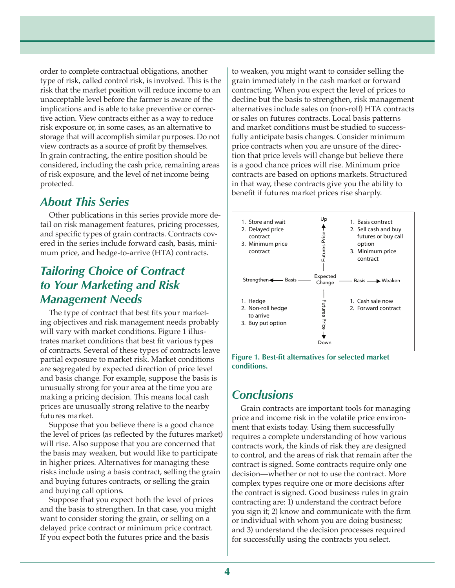order to complete contractual obligations, another type of risk, called control risk, is involved. This is the risk that the market position will reduce income to an unacceptable level before the farmer is aware of the implications and is able to take preventive or corrective action. View contracts either as a way to reduce risk exposure or, in some cases, as an alternative to storage that will accomplish similar purposes. Do not view contracts as a source of profit by themselves. In grain contracting, the entire position should be considered, including the cash price, remaining areas of risk exposure, and the level of net income being protected.

#### *About This Series*

Other publications in this series provide more detail on risk management features, pricing processes, and specific types of grain contracts. Contracts covered in the series include forward cash, basis, minimum price, and hedge-to-arrive (HTA) contracts.

### *Tailoring Choice of Contract to Your Marketing and Risk Management Needs*

The type of contract that best fits your marketing objectives and risk management needs probably will vary with market conditions. Figure 1 illustrates market conditions that best fit various types of contracts. Several of these types of contracts leave partial exposure to market risk. Market conditions are segregated by expected direction of price level and basis change. For example, suppose the basis is unusually strong for your area at the time you are making a pricing decision. This means local cash prices are unusually strong relative to the nearby futures market.

Suppose that you believe there is a good chance the level of prices (as reflected by the futures market) will rise. Also suppose that you are concerned that the basis may weaken, but would like to participate in higher prices. Alternatives for managing these risks include using a basis contract, selling the grain and buying futures contracts, or selling the grain and buying call options.

Suppose that you expect both the level of prices and the basis to strengthen. In that case, you might want to consider storing the grain, or selling on a delayed price contract or minimum price contract. If you expect both the futures price and the basis

to weaken, you might want to consider selling the grain immediately in the cash market or forward contracting. When you expect the level of prices to decline but the basis to strengthen, risk management alternatives include sales on (non-roll) HTA contracts or sales on futures contracts. Local basis patterns and market conditions must be studied to successfully anticipate basis changes. Consider minimum price contracts when you are unsure of the direction that price levels will change but believe there is a good chance prices will rise. Minimum price contracts are based on options markets. Structured in that way, these contracts give you the ability to benefit if futures market prices rise sharply.





#### *Conclusions*

Grain contracts are important tools for managing price and income risk in the volatile price environment that exists today. Using them successfully requires a complete understanding of how various contracts work, the kinds of risk they are designed to control, and the areas of risk that remain after the contract is signed. Some contracts require only one decision—whether or not to use the contract. More complex types require one or more decisions after the contract is signed. Good business rules in grain contracting are: 1) understand the contract before you sign it; 2) know and communicate with the firm or individual with whom you are doing business; and 3) understand the decision processes required For successfully successfully using the contract is signed. Good business rules and a diagnomization of the contract signed. The contracts work, the kinds of risk that remain after the contracts work, the kinds of risk th